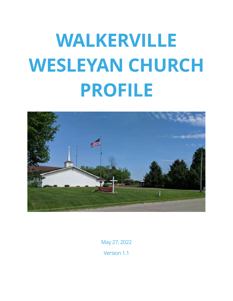

May 27, 2022 Version 1.1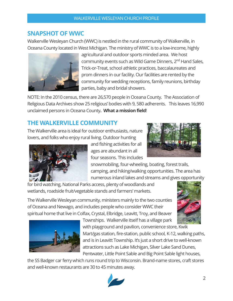## <span id="page-1-0"></span>**SNAPSHOT OF WWC**

Walkerville Wesleyan Church (WWC) is nestled in the rural community of Walkerville, in Oceana County located in West Michigan. The ministry of WWC is to a low-income, highly



agricultural and outdoor sports minded area. We host community events such as Wild Game Dinners, 2<sup>nd</sup> Hand Sales, Trick-or-Treat, school athletic practices, baccalaureates and prom dinners in our facility. Our facilities are rented by the community for wedding receptions, family reunions, birthday parties, baby and bridal showers.

NOTE: In the 2010 census, there are 26,570 people in Oceana County. The Association of Religious Data Archives show 25 religious' bodies with 9, 580 adherents. This leaves 16,990 unclaimed persons in Oceana County**. What a mission field**!

## <span id="page-1-1"></span>**THE WALKERVILLE COMMUNITY**

The Walkerville area is ideal for outdoor enthusiasts, nature lovers, and folks who enjoy rural living. Outdoor hunting



and fishing activities for all ages are abundant in all four seasons. This includes

snowmobiling, four-wheeling, boating, forest trails, camping, and hiking/walking opportunities. The area has numerous inland lakes and streams and gives opportunity

for bird watching, National Parks access, plenty of woodlands and wetlands, roadside fruit/vegetable stands and farmers' markets.

The Walkerville Wesleyan community, ministers mainly to the two counties of Oceana and Newago, and includes people who consider WWC their spiritual home that live in Colfax, Crystal, Elbridge, Leavitt, Troy, and Beaver





with playground and pavilion, convenience store, Kwik Mart/gas station, fire-station, public school, K-12, walking paths, and is in Leavitt Township. It's just a short drive to well-known attractions such as Lake Michigan, Silver Lake Sand Dunes, Pentwater, Little Point Sable and Big Point Sable light houses,

the SS Badger car ferry which runs round trip to Wisconsin. Brand-name stores, craft stores and well-known restaurants are 30 to 45 minutes away.



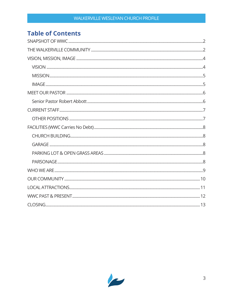## **Table of Contents**

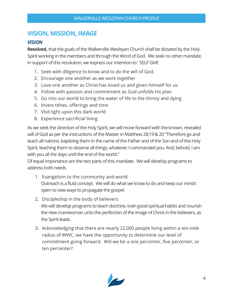## <span id="page-3-0"></span>**VISION, MISSION, IMAGE**

#### <span id="page-3-1"></span>*VISION*

**Resolved,** that the goals of the Walkerville Wesleyan Church shall be dictated by the Holy Spirit working in the members and through the Word of God. We seek no other mandate. In support of this resolution, we express our intention to: SELF GIVE

- 1. Seek with diligence to know and to do the will of God.
- 2. Encourage one another as we work together
- 3. Love one another as Christ has loved us and given himself for us
- 4. Follow with passion and commitment as God unfolds his plan
- 5. Go into our world to bring the water of life to the thirsty and dying
- 6. Invest tithes, offerings and time
- 7. Visit light upon this dark world
- 8. Experience sacrificial living

As we seek the direction of the Holy Spirit, we will move forward with the known, revealed will of God as per the instructions of the Master in Matthew 28:19 & 20 "Therefore go and teach all nations, baptizing them in the name of the Father and of the Son and of the Holy Spirit, teaching them to observe all things, whatever I commanded you. And, behold, I am with you all the days until the end of the world."

Of equal importance are the two parts of this mandate. We will develop programs to address both needs

- 1. Evangelism to the community and world Outreach is a fluid concept. We will do what we know to do and keep our minds open to new ways to propagate the gospel.
- 2. Discipleship in the body of believers We will develop programs to teach doctrine, train good spiritual habits and nourish the new man/woman unto the perfection of the image of Christ in the believers, as the Spirit leads.
- 3. Acknowledging that there are nearly 22,000 people living within a ten-mile radius of WWC, we have the opportunity to determine our level of commitment going forward. Will we be a one percenter, five percenter, or ten percenter?

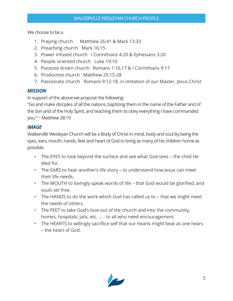We choose to be a

- 1. Praying church Matthew 26:41 & Mark 13:33
- 2. Preaching church Mark 16:15
- 3. Power infused church I Corinthians 4:20 & Ephesians 3:20
- 4. People oriented church Luke 19:10
- 5. Purpose driven church Romans 1:16,17 & I Corinthians 9:17
- 6. Productive church Matthew 25:15-28
- 7. Passionate church Romans 9:12-18, in imitation of our Master, Jesus Christ

## <span id="page-4-0"></span>*MISSION*

In support of the above we propose the following:

"Go and make disciples of all the nations, baptizing them in the name of the Father and of the Son and of the Holy Spirit, and teaching them to obey everything I have commanded you." ~ Matthew 28:19

## <span id="page-4-1"></span>*IMAGE*

Walkerville Wesleyan Church will be a Body of Christ in mind, body and soul by being the eyes, ears, mouth, hands, feet and heart of God to bring as many of his children home as possible.

- The EYES to look beyond the surface and see what God sees the child He died for.
- The EARS to hear another's life story to understand how Jesus can meet their life needs.
- The MOUTH to lovingly speak words of life that God would be glorified, and souls set free.
- The HANDS to do the work which God has called us to that we might meet the needs of others.
- The FEET to take God's love out of the church and into the community, homes, hospitals, jails, etc. … - to all who need encouragement.
- The HEARTS to willingly sacrifice self that our hearts might beat as one hears – the heart of God.

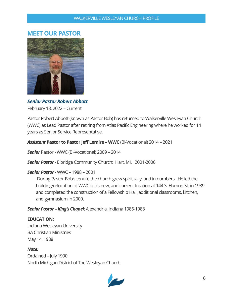## <span id="page-5-0"></span>**MEET OUR PASTOR**



<span id="page-5-1"></span>*Senior Pastor Robert Abbott*

February 13, 2022 – Current

Pastor Robert Abbott (known as Pastor Bob) has returned to Walkerville Wesleyan Church (WWC) as Lead Pastor after retiring from Atlas Pacific Engineering where he worked for 14 years as Senior Service Representative.

*Assistant* **Pastor to Pastor Jeff Lemire – WWC** (Bi-Vocational) 2014 – 2021

*Senior* Pastor - WWC (Bi-Vocational) 2009 – 2014

*Senior Pastor* - Elbridge Community Church: Hart, MI. 2001-2006

#### *Senior Pastor* - WWC – 1988 – 2001

During Pastor Bob's tenure the church grew spiritually, and in numbers. He led the building/relocation of WWC to its new, and current location at 144 S. Hamon St. in 1989 and completed the construction of a Fellowship Hall, additional classrooms, kitchen, and gymnasium in 2000.

*Senior Pastor – King's Chapel*: Alexandria, Indiana 1986-1988

#### **EDUCATION:**

Indiana Wesleyan University BA Christian Ministries May 14, 1988

#### *Note:*

Ordained – July 1990 North Michigan District of The Wesleyan Church

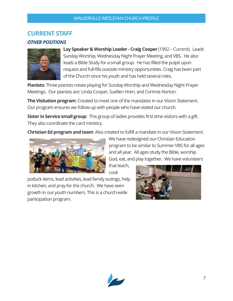## <span id="page-6-0"></span>**CURRENT STAFF**

#### <span id="page-6-1"></span>*OTHER POSITIONS*



**Lay Speaker & Worship Leader - Craig Cooper** (1992 – Current). Leads Sunday Worship, Wednesday Night Prayer Meeting, and VBS. He also leads a Bible Study for a small group. He has filled the pulpit upon request and full-fills outside ministry opportunities. Craig has been part of the Church since his youth and has held several roles.

**Pianists:** Three pianists rotate playing for Sunday Worship and Wednesday Night Prayer Meetings. Our pianists are: Linda Cooper, Suellen Hren, and Corinne Norton.

**The Visitation program**: Created to meet one of the mandates in our Vision Statement. Our program ensures we follow-up with people who have visited our church.

**Sister in Service small group:** This group of ladies provides first time visitors with a gift. They also coordinate the card ministry.

**Christian Ed program and team**: Also created to fulfill a mandate in our Vision Statement.



We have redesigned our Christian Education program to be similar to Summer VBS for all ages and all year. All ages study the Bible, worship God, eat, and play together. We have volunteers

that teach, cook

potluck items, lead activities, lead family outings, help in kitchen, and pray for the church. We have seen growth in our youth numbers. This is a church-wide participation program.



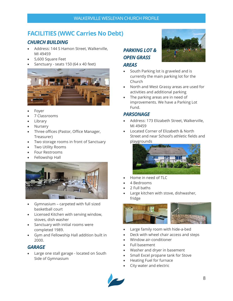## <span id="page-7-0"></span>**FACILITIES (WWC Carries No Debt)**

## <span id="page-7-1"></span>*CHURCH BUILDING*

- Address: 144 S Hamon Street, Walkerville, MI 49459
- 5,600 Square Feet
- Sanctuary seats 150 (64 x 40 feet)



- **Foyer**
- 7 Classrooms
- **Library**
- **Nursery**
- Three offices (Pastor, Office Manager, Treasurer)
- Two storage rooms in front of Sanctuary
- Two Utility Rooms
- Four Restrooms
- Fellowship Hall



- Gymnasium carpeted with full sized basketball court
- Licensed Kitchen with serving window, stoves, dish washer
- Sanctuary with initial rooms were completed 1989.
- Gym and Fellowship Hall addition built in 2000.

## <span id="page-7-2"></span>*GARAGE*

• Large one stall garage - located on South Side of Gymnasium

## <span id="page-7-3"></span>*PARKING LOT & OPEN GRASS*

#### *AREAS*

- South Parking lot is graveled and is currently the main parking lot for the Church
- North and West Grassy areas are used for activities and additional parking
- The parking areas are in need of improvements. We have a Parking Lot Fund.

#### <span id="page-7-4"></span>*PARSONAGE*

- Address: 173 Elizabeth Street, Walkerville, Mi 49459
- Located Corner of Elizabeth & North Street and near School's athletic fields and playgrounds



- Home in need of TLC
- 4 Bedrooms
- 2 Full baths
- Large kitchen with stove, dishwasher, fridge



- Large family room with hide-a-bed
- Deck with wheel chair access and steps
- Window air-conditioner
- Full basement
- Washer and dryer in basement
- Small Excel propane tank for Stove
- Heating Fuel for furnace
- City water and electric



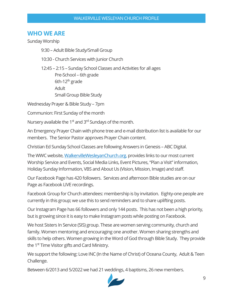## <span id="page-8-0"></span>**WHO WE ARE**

Sunday Worship

9:30 – Adult Bible Study/Small Group

10:30 - Church Services with Junior Church

12:45 – 2:15 – Sunday School Classes and Activities for all ages Pre-School – 6th grade 6th-12<sup>th</sup> grade Adult Small Group Bible Study

Wednesday Prayer & Bible Study – 7pm

Communion: First Sunday of the month

Nursery available the 1<sup>st</sup> and 3<sup>rd</sup> Sundays of the month.

An Emergency Prayer Chain with phone tree and e-mail distribution list is available for our members. The Senior Pastor approves Prayer Chain content.

Christian Ed Sunday School Classes are following Answers in Genesis – ABC Digital.

The WWC website, [WalkervilleWesleyanChurch.org,](http://www.walkervillewesleyanchurch.org/) provides links to our most current Worship Service and Events, Social Media Links, Event Pictures, "Plan a Visit"information, Holiday Sunday Information, VBS and About Us (Vision, Mission, Image) and staff.

Our Facebook Page has 420 followers. Services and afternoon Bible studies are on our Page as Facebook LIVE recordings.

Facebook Group for Church attendees: membership is by invitation. Eighty-one people are currently in this group; we use this to send reminders and to share uplifting posts.

Our Instagram Page has 66 followers and only 144 posts. This has not been a high priority, but is growing since it is easy to make Instagram posts while posting on Facebook.

We host Sisters In Service (SIS) group. These are women serving community, church and family. Women mentoring and encouraging one another. Women sharing strengths and skills to help others. Women growing in the Word of God through Bible Study. They provide the 1<sup>st</sup> Time Visitor gifts and Card Ministry.

We support the following: Love INC (In the Name of Christ) of Oceana County, Adult & Teen Challenge.

Between 6/2013 and 5/2022 we had 21 weddings, 4 baptisms, 26 new members.

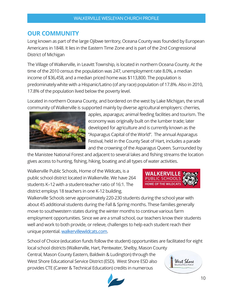## <span id="page-9-0"></span>**OUR COMMUNITY**

Long known as part of the large Ojibwe territory, Oceana County was founded by European Americans in 1848. It lies in the Eastern Time Zone and is part of the 2nd Congressional District of Michigan

The Village of Walkerville, in Leavitt Township, is located in northern Oceana County. At the time of the 2010 census the population was 247, unemployment rate 8.0%, a median income of \$36,458, and a median priced home was \$113,800. The population is predominately white with a Hispanic/Latino (of any race) population of 17.8%. Also in 2010, 17.8% of the population lived below the poverty level.

Located in northern Oceana County, and bordered on the west by Lake Michigan, the small community of Walkerville is supported mainly by diverse agricultural employers: cherries,



apples, asparagus; animal feeding facilities and tourism. The economy was originally built on the lumber trade; later developed for agriculture and is currently known as the "Asparagus Capital of the World". The annual Asparagus Festival, held in the County Seat of Hart, includes a parade and the crowning of the Asparagus Queen. Surrounded by

the Manistee National Forest and adjacent to several lakes and fishing streams the location gives access to hunting, fishing, hiking, boating and all types of water activities.

Walkerville Public Schools, Home of the Wildcats, is a public school district located in Walkerville. We have 264 students K–12 with a student-teacher ratio of 16:1. The district employs 18 teachers in one K-12 building.



Walkerville Schools serve approximately 220-230 students during the school year with about 45 additional students during the Fall & Spring months. These families generally move to southwestern states during the winter months to continue various farm employment opportunities. Since we are a small school, our teachers know their students well and work to both provide, or relieve, challenges to help each student reach their unique potential[. walkervillewildcats.com.](https://walkervillewildcats.com/) 

School of Choice (education funds follow the student) opportunities are facilitated for eight local school districts (Walkerville, Hart, Pentwater, Shelby, Mason County Central, Mason County Eastern, Baldwin & Ludington) through the West Shore West Shore Educational Service District (ESD). West Shore ESD also provides CTE (Career & Technical Education) credits in numerous

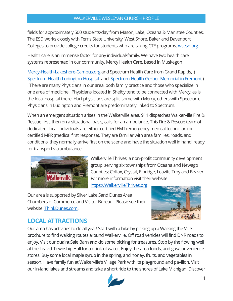fields for approximately 500 students/day from Mason, Lake, Oceana & Manistee Counties. The ESD works closely with Ferris State University, West Shore, Baker and Davenport Colleges to provide college credits for students who are taking CTE programs. [wsesd.org](https://www.wsesd.org/)

Health care is an immense factor for any individual/family. We have two health care systems represented in our community, Mercy Health Care, based in Muskegon

[Mercy-Health-Lakeshore-Campus.org](https://www.mercyhealth.com/location/mercy-health-lakeshore-campus) and Spectrum Health Care from Grand Rapids, ( [Spectrum-Health-Ludington-Hospital](https://www.spectrumhealth.org/locations/spectrum-health-ludington-hospital) and [Spectrum-Health-Gerber-Memorial in Fremont](https://www.spectrumhealth.org/locations/spectrum-health-gerber-memorial)) . There are many Physicians in our area, both family practice and those who specialize in one area of medicine. Physicians located in Shelby tend to be connected with Mercy, as is the local hospital there. Hart physicians are split, some with Mercy, others with Spectrum. Physicians in Ludington and Fremont are predominately linked to Spectrum.

When an emergent situation arises In the Walkerville area, 911 dispatches Walkerville Fire & Rescue first, then on a situational basis, calls for an ambulance. This Fire & Rescue team of dedicated, local individuals are either certified EMT (emergency medical technician) or certified MFR (medical first response). They are familiar with area families, roads, and conditions, they normally arrive first on the scene and have the situation well in hand, ready for transport via ambulance.



Walkerville Thrives, a non-profit community development group, serving six townships from Oceana and Newago Counties: Colfax, Crystal, Elbridge, Leavitt, Troy and Beaver. For more information visit their website [https://WalkervilleThrives.org](https://walkervillethrives.org/)

Our area is supported by Silver Lake Sand Dunes Area Chambers of Commerce and Visitor Bureau. Please see their website: [ThinkDunes.com.](https://thinkdunes.com/)



## <span id="page-10-0"></span>**LOCAL ATTRACTIONS**

Our area has activities to do all year! Start with a hike by picking up a Walking the Ville brochure to find walking routes around Walkerville. Off road vehicles will find DNR roads to enjoy. Visit our quaint Sale Barn and do some picking for treasures. Stop by the flowing well at the Leavitt Township Hall for a drink of water. Enjoy the area foods, and gas/convenience stores. Buy some local maple syrup in the spring, and honey, fruits, and vegetables in season. Have family fun at Walkerville's Village Park with its playground and pavilion. Visit our in-land lakes and streams and take a short ride to the shores of Lake Michigan. Discover

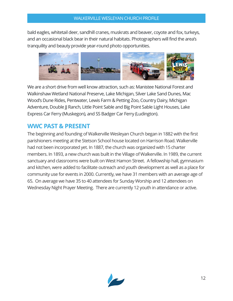bald eagles, whitetail deer, sandhill cranes, muskrats and beaver, coyote and fox, turkeys, and an occasional black bear in their natural habitats. Photographers will find the area's tranquility and beauty provide year-round photo opportunities.



We are a short drive from well know attraction, such as: Manistee National Forest and Walkinshaw Wetland National Preserve, Lake Michigan, Silver Lake Sand Dunes, Mac Wood's Dune Rides, Pentwater, Lewis Farm & Petting Zoo, Country Dairy, Michigan Adventure, Double JJ Ranch, Little Point Sable and Big Point Sable Light Houses, Lake Express Car Ferry (Muskegon), and SS Badger Car Ferry (Ludington).

## <span id="page-11-0"></span>**WWC PAST & PRESENT**

The beginning and founding of Walkerville Wesleyan Church began in 1882 with the first parishioners meeting at the Stetson School house located on Harrison Road. Walkerville had not been incorporated yet. In 1887, the church was organized with 15 charter members. In 1893, a new church was built in the Village of Walkerville. In 1989, the current sanctuary and classrooms were built on West Hamon Street. A fellowship hall, gymnasium and kitchen, were added to facilitate outreach and youth development as well as a place for community use for events in 2000. Currently, we have 31 members with an average age of 65. On average we have 35 to 40 attendees for Sunday Worship and 12 attendees on Wednesday Night Prayer Meeting. There are currently 12 youth in attendance or active.